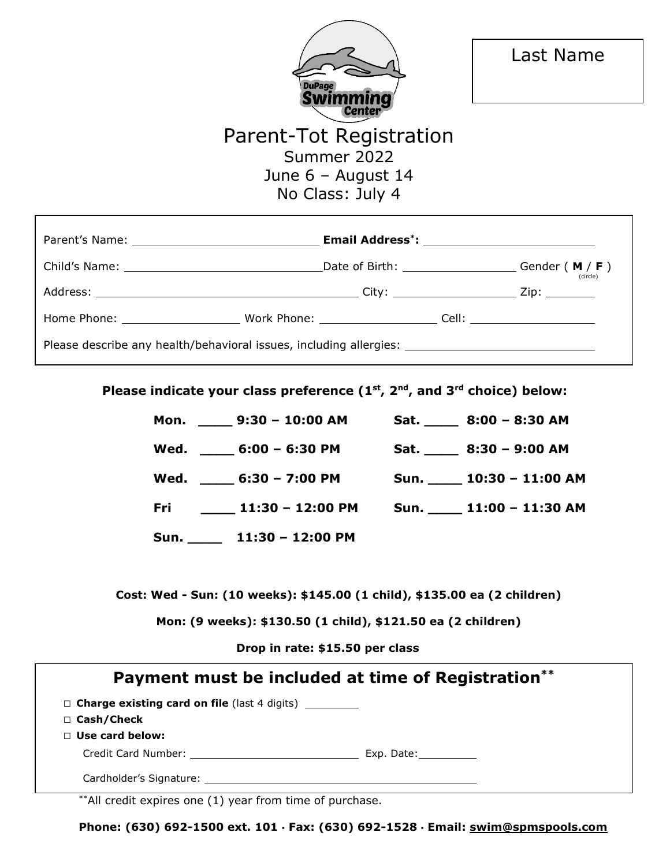

# Parent-Tot Registration Summer 2022 June 6 – August 14 No Class: July 4

|                                                                                                      | Date of Birth: $\qquad \qquad \qquad \qquad$ Gender (M / F)<br>(circle) |
|------------------------------------------------------------------------------------------------------|-------------------------------------------------------------------------|
|                                                                                                      |                                                                         |
|                                                                                                      |                                                                         |
| Please describe any health/behavioral issues, including allergies: _________________________________ |                                                                         |

**Please indicate your class preference (1st, 2nd, and 3rd choice) below:** 

| Mon. $9:30 - 10:00$ AM           | Sat. 8:00 - 8:30 AM               |
|----------------------------------|-----------------------------------|
| Wed. ______ 6:00 - 6:30 PM       | Sat. $\frac{1}{2}$ 8:30 - 9:00 AM |
| Wed. $6:30 - 7:00 \text{ PM}$    | Sun. 10:30 - 11:00 AM             |
| $11:30 - 12:00$ PM<br><u>Fri</u> | Sun. 11:00 - 11:30 AM             |
| Sun. 11:30 - 12:00 PM            |                                   |

**Cost: Wed - Sun: (10 weeks): \$145.00 (1 child), \$135.00 ea (2 children)** 

**Mon: (9 weeks): \$130.50 (1 child), \$121.50 ea (2 children)** 

 **Drop in rate: \$15.50 per class** 

|                                                                      | Payment must be included at time of Registration** |
|----------------------------------------------------------------------|----------------------------------------------------|
| $\Box$ Charge existing card on file (last 4 digits) __________       |                                                    |
| $\Box$ Cash/Check                                                    |                                                    |
| $\Box$ Use card below:                                               |                                                    |
|                                                                      |                                                    |
| Cardholder's Signature: with the card of the cardholder's Signature: |                                                    |

\*\*All credit expires one (1) year from time of purchase.

**Phone: (630) 692-1500 ext. 101 ▪ Fax: (630) 692-1528 ▪ Email: swim@spmspools.com**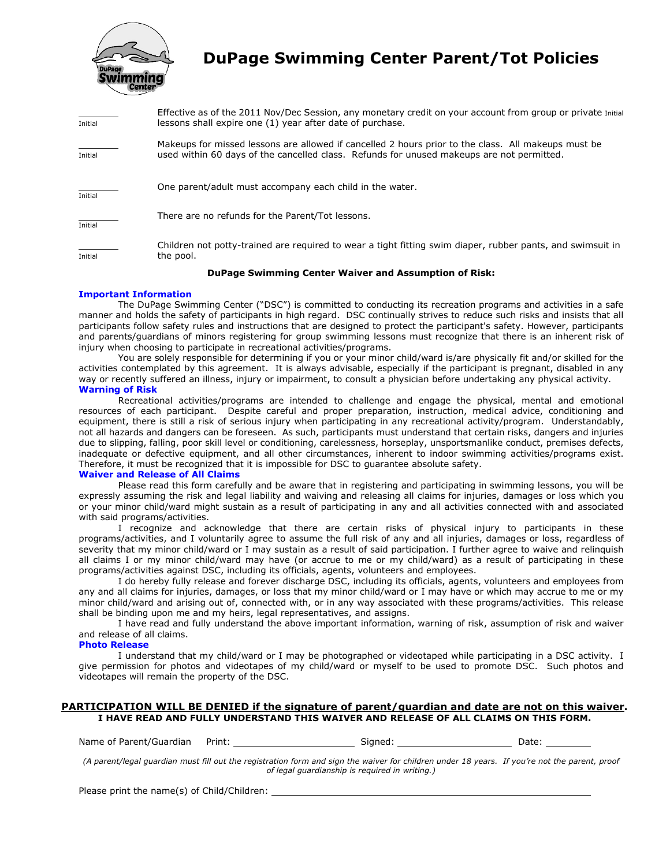

## **DuPage Swimming Center Parent/Tot Policies**

| Initial | Effective as of the 2011 Nov/Dec Session, any monetary credit on your account from group or private Initial<br>lessons shall expire one (1) year after date of purchase.                         |
|---------|--------------------------------------------------------------------------------------------------------------------------------------------------------------------------------------------------|
| Initial | Makeups for missed lessons are allowed if cancelled 2 hours prior to the class. All makeups must be<br>used within 60 days of the cancelled class. Refunds for unused makeups are not permitted. |
| Initial | One parent/adult must accompany each child in the water.                                                                                                                                         |
| Initial | There are no refunds for the Parent/Tot lessons.                                                                                                                                                 |
| Initial | Children not potty-trained are required to wear a tight fitting swim diaper, rubber pants, and swimsuit in<br>the pool.                                                                          |

#### **DuPage Swimming Center Waiver and Assumption of Risk:**

#### **Important Information**

The DuPage Swimming Center ("DSC") is committed to conducting its recreation programs and activities in a safe manner and holds the safety of participants in high regard. DSC continually strives to reduce such risks and insists that all participants follow safety rules and instructions that are designed to protect the participant's safety. However, participants and parents/guardians of minors registering for group swimming lessons must recognize that there is an inherent risk of injury when choosing to participate in recreational activities/programs.

You are solely responsible for determining if you or your minor child/ward is/are physically fit and/or skilled for the activities contemplated by this agreement. It is always advisable, especially if the participant is pregnant, disabled in any way or recently suffered an illness, injury or impairment, to consult a physician before undertaking any physical activity. **Warning of Risk** 

Recreational activities/programs are intended to challenge and engage the physical, mental and emotional resources of each participant. Despite careful and proper preparation, instruction, medical advice, conditioning and equipment, there is still a risk of serious injury when participating in any recreational activity/program. Understandably, not all hazards and dangers can be foreseen. As such, participants must understand that certain risks, dangers and injuries due to slipping, falling, poor skill level or conditioning, carelessness, horseplay, unsportsmanlike conduct, premises defects, inadequate or defective equipment, and all other circumstances, inherent to indoor swimming activities/programs exist. Therefore, it must be recognized that it is impossible for DSC to guarantee absolute safety.

#### **Waiver and Release of All Claims**

Please read this form carefully and be aware that in registering and participating in swimming lessons, you will be expressly assuming the risk and legal liability and waiving and releasing all claims for injuries, damages or loss which you or your minor child/ward might sustain as a result of participating in any and all activities connected with and associated with said programs/activities.

I recognize and acknowledge that there are certain risks of physical injury to participants in these programs/activities, and I voluntarily agree to assume the full risk of any and all injuries, damages or loss, regardless of severity that my minor child/ward or I may sustain as a result of said participation. I further agree to waive and relinquish all claims I or my minor child/ward may have (or accrue to me or my child/ward) as a result of participating in these programs/activities against DSC, including its officials, agents, volunteers and employees.

I do hereby fully release and forever discharge DSC, including its officials, agents, volunteers and employees from any and all claims for injuries, damages, or loss that my minor child/ward or I may have or which may accrue to me or my minor child/ward and arising out of, connected with, or in any way associated with these programs/activities. This release shall be binding upon me and my heirs, legal representatives, and assigns.

I have read and fully understand the above important information, warning of risk, assumption of risk and waiver and release of all claims.

#### **Photo Release**

I understand that my child/ward or I may be photographed or videotaped while participating in a DSC activity. I give permission for photos and videotapes of my child/ward or myself to be used to promote DSC. Such photos and videotapes will remain the property of the DSC.

#### **PARTICIPATION WILL BE DENIED if the signature of parent/guardian and date are not on this waiver. I HAVE READ AND FULLY UNDERSTAND THIS WAIVER AND RELEASE OF ALL CLAIMS ON THIS FORM.**

Name of Parent/Guardian Print: Signed: Date:

*(A parent/legal guardian must fill out the registration form and sign the waiver for children under 18 years. If you're not the parent, proof of legal guardianship is required in writing.)* 

Please print the name(s) of Child/Children: